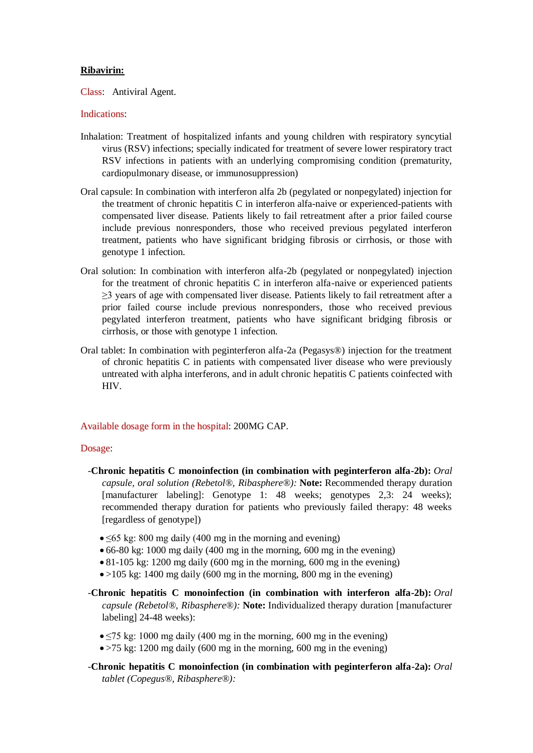# **Ribavirin:**

Class: Antiviral Agent.

# Indications:

- Inhalation: Treatment of hospitalized infants and young children with respiratory syncytial virus (RSV) infections; specially indicated for treatment of severe lower respiratory tract RSV infections in patients with an underlying compromising condition (prematurity, cardiopulmonary disease, or immunosuppression)
- Oral capsule: In combination with interferon alfa 2b (pegylated or nonpegylated) injection for the treatment of chronic hepatitis C in interferon alfa-naive or experienced-patients with compensated liver disease. Patients likely to fail retreatment after a prior failed course include previous nonresponders, those who received previous pegylated interferon treatment, patients who have significant bridging fibrosis or cirrhosis, or those with genotype 1 infection.
- Oral solution: In combination with interferon alfa-2b (pegylated or nonpegylated) injection for the treatment of chronic hepatitis C in interferon alfa-naive or experienced patients ≥3 years of age with compensated liver disease. Patients likely to fail retreatment after a prior failed course include previous nonresponders, those who received previous pegylated interferon treatment, patients who have significant bridging fibrosis or cirrhosis, or those with genotype 1 infection.
- Oral tablet: In combination with peginterferon alfa-2a (Pegasys®) injection for the treatment of chronic hepatitis C in patients with compensated liver disease who were previously untreated with alpha interferons, and in adult chronic hepatitis C patients coinfected with HIV.

### Available dosage form in the hospital: 200MG CAP.

### Dosage:

- -**Chronic hepatitis C monoinfection (in combination with peginterferon alfa-2b):** *Oral capsule, oral solution (Rebetol®, Ribasphere®):* **Note:** Recommended therapy duration [manufacturer labeling]: Genotype 1: 48 weeks; genotypes 2,3: 24 weeks); recommended therapy duration for patients who previously failed therapy: 48 weeks [regardless of genotype])
	- ≤65 kg: 800 mg daily (400 mg in the morning and evening)
	- 66-80 kg: 1000 mg daily (400 mg in the morning, 600 mg in the evening)
	- 81-105 kg: 1200 mg daily (600 mg in the morning, 600 mg in the evening)
	- $\bullet$  >105 kg: 1400 mg daily (600 mg in the morning, 800 mg in the evening)
- -**Chronic hepatitis C monoinfection (in combination with interferon alfa-2b):** *Oral capsule (Rebetol®, Ribasphere®):* **Note:** Individualized therapy duration [manufacturer labeling] 24-48 weeks):
	- $\leq$  5 kg: 1000 mg daily (400 mg in the morning, 600 mg in the evening)
	- >75 kg: 1200 mg daily (600 mg in the morning, 600 mg in the evening)
- -**Chronic hepatitis C monoinfection (in combination with peginterferon alfa-2a):** *Oral tablet (Copegus®, Ribasphere®):*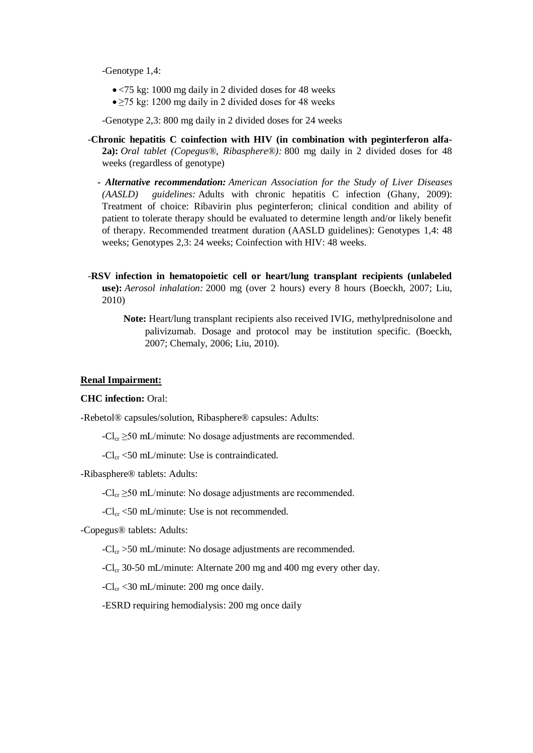-Genotype 1,4:

- <75 kg: 1000 mg daily in 2 divided doses for 48 weeks
- $\bullet \ge 75$  kg: 1200 mg daily in 2 divided doses for 48 weeks

-Genotype 2,3: 800 mg daily in 2 divided doses for 24 weeks

- -**Chronic hepatitis C coinfection with HIV (in combination with peginterferon alfa-2a):** *Oral tablet (Copegus®, Ribasphere®):* 800 mg daily in 2 divided doses for 48 weeks (regardless of genotype)
	- *- Alternative recommendation: American Association for the Study of Liver Diseases (AASLD) guidelines:* Adults with chronic hepatitis C infection (Ghany, 2009): Treatment of choice: Ribavirin plus peginterferon; clinical condition and ability of patient to tolerate therapy should be evaluated to determine length and/or likely benefit of therapy. Recommended treatment duration (AASLD guidelines): Genotypes 1,4: 48 weeks; Genotypes 2,3: 24 weeks; Coinfection with HIV: 48 weeks.
- -**RSV infection in hematopoietic cell or heart/lung transplant recipients (unlabeled use):** *Aerosol inhalation:* 2000 mg (over 2 hours) every 8 hours (Boeckh, 2007; Liu, 2010)
	- **Note:** Heart/lung transplant recipients also received IVIG, methylprednisolone and palivizumab. Dosage and protocol may be institution specific. (Boeckh, 2007; Chemaly, 2006; Liu, 2010).

## **Renal Impairment:**

## **CHC infection:** Oral:

-Rebetol® capsules/solution, Ribasphere® capsules: Adults:

 $-Cl_{cr} \geq 50$  mL/minute: No dosage adjustments are recommended.

 $-Cl_{cr}$  <50 mL/minute: Use is contraindicated.

-Ribasphere® tablets: Adults:

 $-Cl_{cr} \geq 50$  mL/minute: No dosage adjustments are recommended.

 $-Cl_{cr}$  <50 mL/minute: Use is not recommended.

-Copegus® tablets: Adults:

 $-Cl_{cr}$  >50 mL/minute: No dosage adjustments are recommended.

 $-Cl_{cr}$  30-50 mL/minute: Alternate 200 mg and 400 mg every other day.

 $-Cl_{cr}$  <30 mL/minute: 200 mg once daily.

-ESRD requiring hemodialysis: 200 mg once daily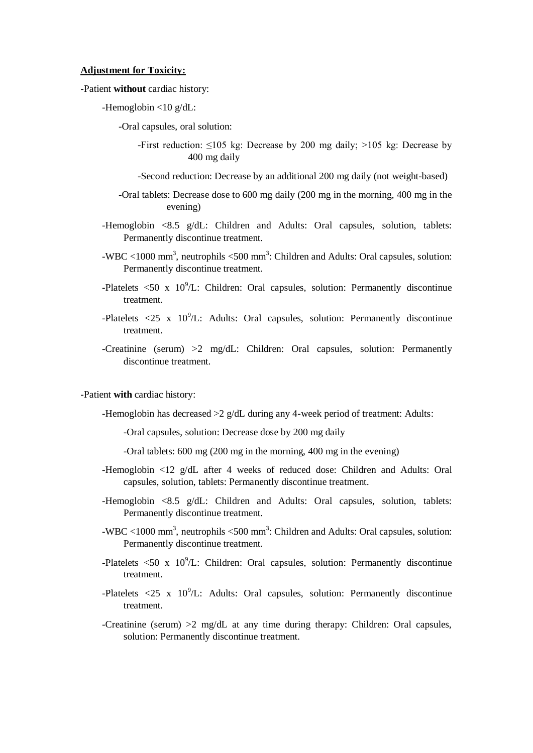#### **Adjustment for Toxicity:**

## -Patient **without** cardiac history:

-Hemoglobin <10 g/dL:

-Oral capsules, oral solution:

-First reduction: ≤105 kg: Decrease by 200 mg daily; >105 kg: Decrease by 400 mg daily

-Second reduction: Decrease by an additional 200 mg daily (not weight-based)

- -Oral tablets: Decrease dose to 600 mg daily (200 mg in the morning, 400 mg in the evening)
- -Hemoglobin <8.5 g/dL: Children and Adults: Oral capsules, solution, tablets: Permanently discontinue treatment.
- -WBC <1000 mm<sup>3</sup>, neutrophils <500 mm<sup>3</sup>: Children and Adults: Oral capsules, solution: Permanently discontinue treatment.
- -Platelets  $\langle 50 \times 10^9 \rangle$ L: Children: Oral capsules, solution: Permanently discontinue treatment.
- -Platelets  $\langle 25 \times 10^9 \rangle$ L: Adults: Oral capsules, solution: Permanently discontinue treatment.
- -Creatinine (serum) >2 mg/dL: Children: Oral capsules, solution: Permanently discontinue treatment.

#### -Patient **with** cardiac history:

-Hemoglobin has decreased >2 g/dL during any 4-week period of treatment: Adults:

-Oral capsules, solution: Decrease dose by 200 mg daily

-Oral tablets: 600 mg (200 mg in the morning, 400 mg in the evening)

- -Hemoglobin <12 g/dL after 4 weeks of reduced dose: Children and Adults: Oral capsules, solution, tablets: Permanently discontinue treatment.
- -Hemoglobin <8.5 g/dL: Children and Adults: Oral capsules, solution, tablets: Permanently discontinue treatment.
- -WBC <1000 mm<sup>3</sup>, neutrophils <500 mm<sup>3</sup>: Children and Adults: Oral capsules, solution: Permanently discontinue treatment.
- -Platelets  $\langle 50 \times 10^9 \rangle$ . Children: Oral capsules, solution: Permanently discontinue treatment.
- -Platelets  $\langle 25 \times 10^9 \rangle$ L: Adults: Oral capsules, solution: Permanently discontinue treatment.
- -Creatinine (serum) >2 mg/dL at any time during therapy: Children: Oral capsules, solution: Permanently discontinue treatment.